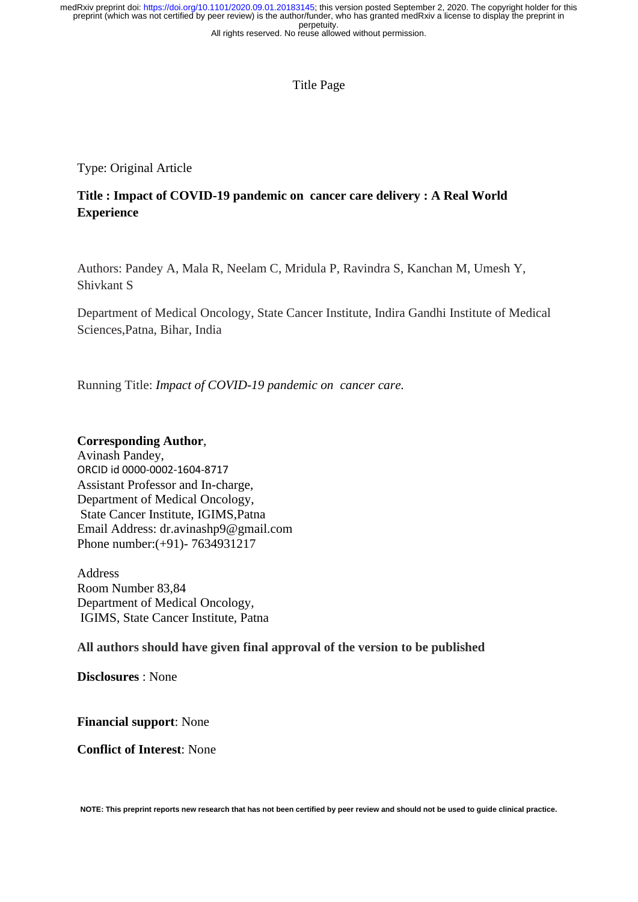## Title Page

Type: Original Article

# **Title : Impact of COVID-19 pandemic on cancer care delivery : A Real World Experience**

Authors: Pandey A, Mala R, Neelam C, Mridula P, Ravindra S, Kanchan M, Umesh Y, Shivkant S

Department of Medical Oncology, State Cancer Institute, Indira Gandhi Institute of Medical Sciences,Patna, Bihar, India

Running Title: *Impact of COVID-19 pandemic on cancer care.*

## **Corresponding Author**,

Avinash Pandey, ORCID id 0000-0002-1604-8717 Assistant Professor and In-charge, Department of Medical Oncology, State Cancer Institute, IGIMS,Patna Email Address: dr.avinashp9@gmail.com Phone number:(+91)- 7634931217

Address Room Number 83,84 Department of Medical Oncology, IGIMS, State Cancer Institute, Patna

**All authors should have given final approval of the version to be published**

**Disclosures** : None

**Financial support**: None

**Conflict of Interest**: None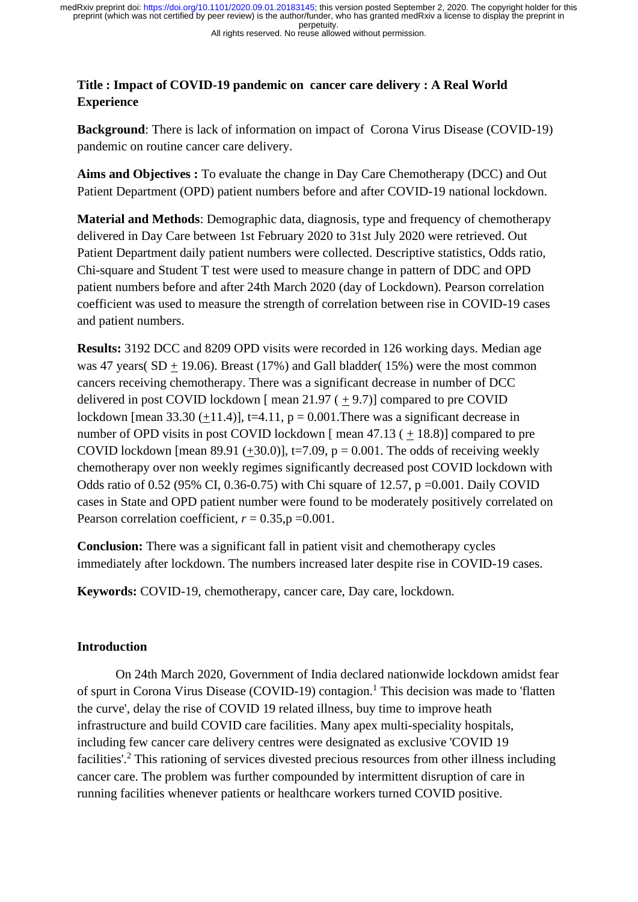#### All rights reserved. No reuse allowed without permission.

# **Title : Impact of COVID-19 pandemic on cancer care delivery : A Real World Experience**

**Background**: There is lack of information on impact of Corona Virus Disease (COVID-19) pandemic on routine cancer care delivery.

**Aims and Objectives :** To evaluate the change in Day Care Chemotherapy (DCC) and Out Patient Department (OPD) patient numbers before and after COVID-19 national lockdown.

**Material and Methods**: Demographic data, diagnosis, type and frequency of chemotherapy delivered in Day Care between 1st February 2020 to 31st July 2020 were retrieved. Out Patient Department daily patient numbers were collected. Descriptive statistics, Odds ratio, Chi-square and Student T test were used to measure change in pattern of DDC and OPD patient numbers before and after 24th March 2020 (day of Lockdown). Pearson correlation coefficient was used to measure the strength of correlation between rise in COVID-19 cases and patient numbers.

**Results:** 3192 DCC and 8209 OPD visits were recorded in 126 working days. Median age was 47 years( $SD + 19.06$ ). Breast (17%) and Gall bladder(15%) were the most common cancers receiving chemotherapy. There was a significant decrease in number of DCC delivered in post COVID lockdown [ mean  $21.97 (+ 9.7)$ ] compared to pre COVID lockdown [mean 33.30  $(+11.4)$ ], t=4.11, p = 0.001. There was a significant decrease in number of OPD visits in post COVID lockdown [ mean 47.13 ( + 18.8)] compared to pre COVID lockdown [mean 89.91  $(+30.0)$ ], t=7.09, p = 0.001. The odds of receiving weekly chemotherapy over non weekly regimes significantly decreased post COVID lockdown with Odds ratio of 0.52 (95% CI, 0.36-0.75) with Chi square of 12.57,  $p = 0.001$ . Daily COVID cases in State and OPD patient number were found to be moderately positively correlated on Pearson correlation coefficient,  $r = 0.35$ ,  $p = 0.001$ .

**Conclusion:** There was a significant fall in patient visit and chemotherapy cycles immediately after lockdown. The numbers increased later despite rise in COVID-19 cases.

**Keywords:** COVID-19, chemotherapy, cancer care, Day care, lockdown.

## **Introduction**

On 24th March 2020, Government of India declared nationwide lockdown amidst fear of spurt in Corona Virus Disease (COVID-19) contagion.<sup>1</sup> This decision was made to 'flatten the curve', delay the rise of COVID 19 related illness, buy time to improve heath infrastructure and build COVID care facilities. Many apex multi-speciality hospitals, including few cancer care delivery centres were designated as exclusive 'COVID 19 facilities'.<sup>2</sup> This rationing of services divested precious resources from other illness including cancer care. The problem was further compounded by intermittent disruption of care in running facilities whenever patients or healthcare workers turned COVID positive.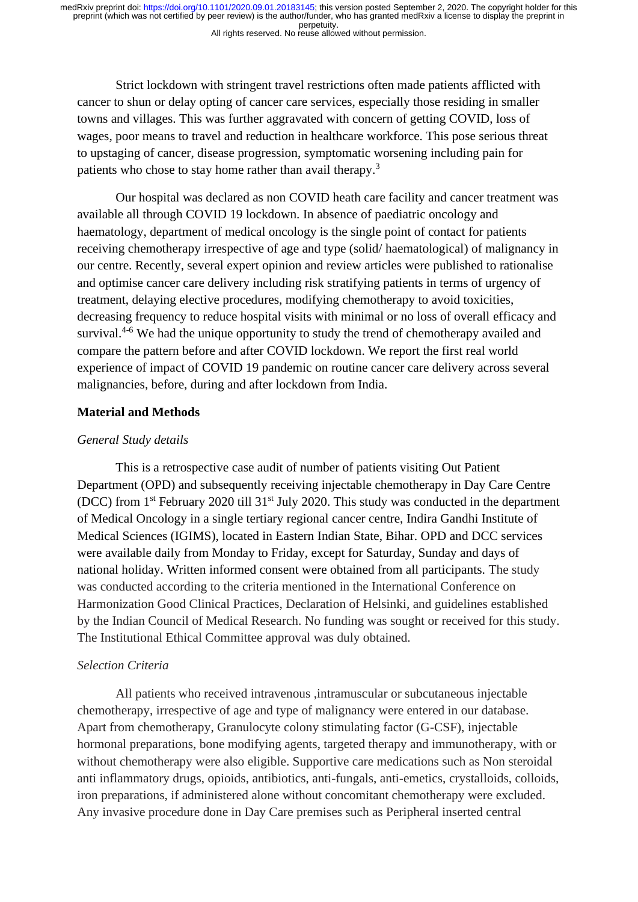Strict lockdown with stringent travel restrictions often made patients afflicted with cancer to shun or delay opting of cancer care services, especially those residing in smaller towns and villages. This was further aggravated with concern of getting COVID, loss of wages, poor means to travel and reduction in healthcare workforce. This pose serious threat to upstaging of cancer, disease progression, symptomatic worsening including pain for patients who chose to stay home rather than avail therapy.<sup>3</sup>

Our hospital was declared as non COVID heath care facility and cancer treatment was available all through COVID 19 lockdown. In absence of paediatric oncology and haematology, department of medical oncology is the single point of contact for patients receiving chemotherapy irrespective of age and type (solid/ haematological) of malignancy in our centre. Recently, several expert opinion and review articles were published to rationalise and optimise cancer care delivery including risk stratifying patients in terms of urgency of treatment, delaying elective procedures, modifying chemotherapy to avoid toxicities, decreasing frequency to reduce hospital visits with minimal or no loss of overall efficacy and survival.<sup>4-6</sup> We had the unique opportunity to study the trend of chemotherapy availed and compare the pattern before and after COVID lockdown. We report the first real world experience of impact of COVID 19 pandemic on routine cancer care delivery across several malignancies, before, during and after lockdown from India.

## **Material and Methods**

## *General Study details*

This is a retrospective case audit of number of patients visiting Out Patient Department (OPD) and subsequently receiving injectable chemotherapy in Day Care Centre (DCC) from 1st February 2020 till 31st July 2020. This study was conducted in the department of Medical Oncology in a single tertiary regional cancer centre, Indira Gandhi Institute of Medical Sciences (IGIMS), located in Eastern Indian State, Bihar. OPD and DCC services were available daily from Monday to Friday, except for Saturday, Sunday and days of national holiday. Written informed consent were obtained from all participants. The study was conducted according to the criteria mentioned in the International Conference on Harmonization Good Clinical Practices, Declaration of Helsinki, and guidelines established by the Indian Council of Medical Research. No funding was sought or received for this study. The Institutional Ethical Committee approval was duly obtained.

## *Selection Criteria*

All patients who received intravenous ,intramuscular or subcutaneous injectable chemotherapy, irrespective of age and type of malignancy were entered in our database. Apart from chemotherapy, Granulocyte colony stimulating factor (G-CSF), injectable hormonal preparations, bone modifying agents, targeted therapy and immunotherapy, with or without chemotherapy were also eligible. Supportive care medications such as Non steroidal anti inflammatory drugs, opioids, antibiotics, anti-fungals, anti-emetics, crystalloids, colloids, iron preparations, if administered alone without concomitant chemotherapy were excluded. Any invasive procedure done in Day Care premises such as Peripheral inserted central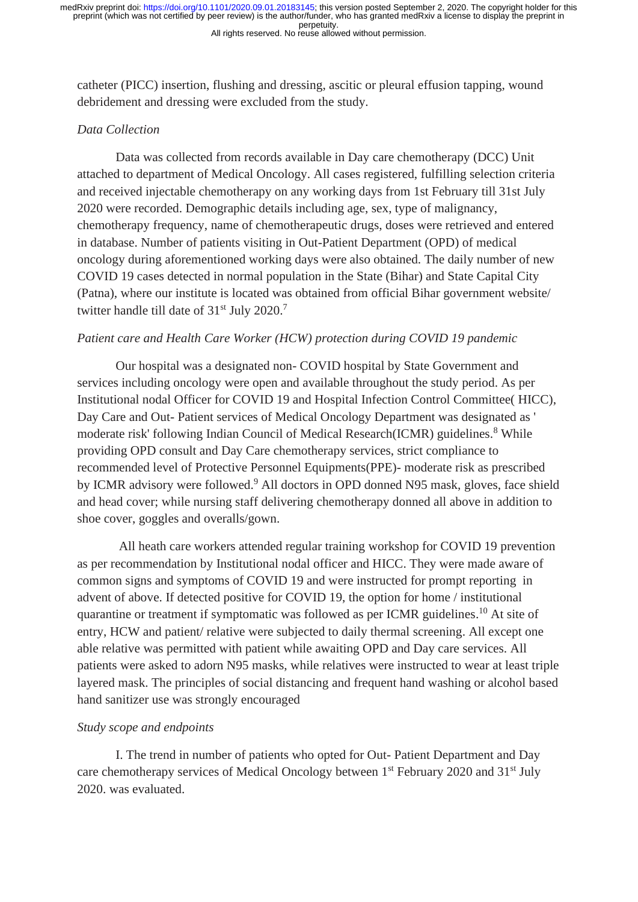catheter (PICC) insertion, flushing and dressing, ascitic or pleural effusion tapping, wound debridement and dressing were excluded from the study.

## *Data Collection*

Data was collected from records available in Day care chemotherapy (DCC) Unit attached to department of Medical Oncology. All cases registered, fulfilling selection criteria and received injectable chemotherapy on any working days from 1st February till 31st July 2020 were recorded. Demographic details including age, sex, type of malignancy, chemotherapy frequency, name of chemotherapeutic drugs, doses were retrieved and entered in database. Number of patients visiting in Out-Patient Department (OPD) of medical oncology during aforementioned working days were also obtained. The daily number of new COVID 19 cases detected in normal population in the State (Bihar) and State Capital City (Patna), where our institute is located was obtained from official Bihar government website/ twitter handle till date of  $31<sup>st</sup>$  July 2020.<sup>7</sup>

## *Patient care and Health Care Worker (HCW) protection during COVID 19 pandemic*

Our hospital was a designated non- COVID hospital by State Government and services including oncology were open and available throughout the study period. As per Institutional nodal Officer for COVID 19 and Hospital Infection Control Committee( HICC), Day Care and Out- Patient services of Medical Oncology Department was designated as ' moderate risk' following Indian Council of Medical Research(ICMR) guidelines.<sup>8</sup> While providing OPD consult and Day Care chemotherapy services, strict compliance to recommended level of Protective Personnel Equipments(PPE)- moderate risk as prescribed by ICMR advisory were followed.<sup>9</sup> All doctors in OPD donned N95 mask, gloves, face shield and head cover; while nursing staff delivering chemotherapy donned all above in addition to shoe cover, goggles and overalls/gown.

All heath care workers attended regular training workshop for COVID 19 prevention as per recommendation by Institutional nodal officer and HICC. They were made aware of common signs and symptoms of COVID 19 and were instructed for prompt reporting in advent of above. If detected positive for COVID 19, the option for home / institutional quarantine or treatment if symptomatic was followed as per ICMR guidelines.<sup>10</sup> At site of entry, HCW and patient/ relative were subjected to daily thermal screening. All except one able relative was permitted with patient while awaiting OPD and Day care services. All patients were asked to adorn N95 masks, while relatives were instructed to wear at least triple layered mask. The principles of social distancing and frequent hand washing or alcohol based hand sanitizer use was strongly encouraged

## *Study scope and endpoints*

I. The trend in number of patients who opted for Out- Patient Department and Day care chemotherapy services of Medical Oncology between 1<sup>st</sup> February 2020 and 31<sup>st</sup> July 2020. was evaluated.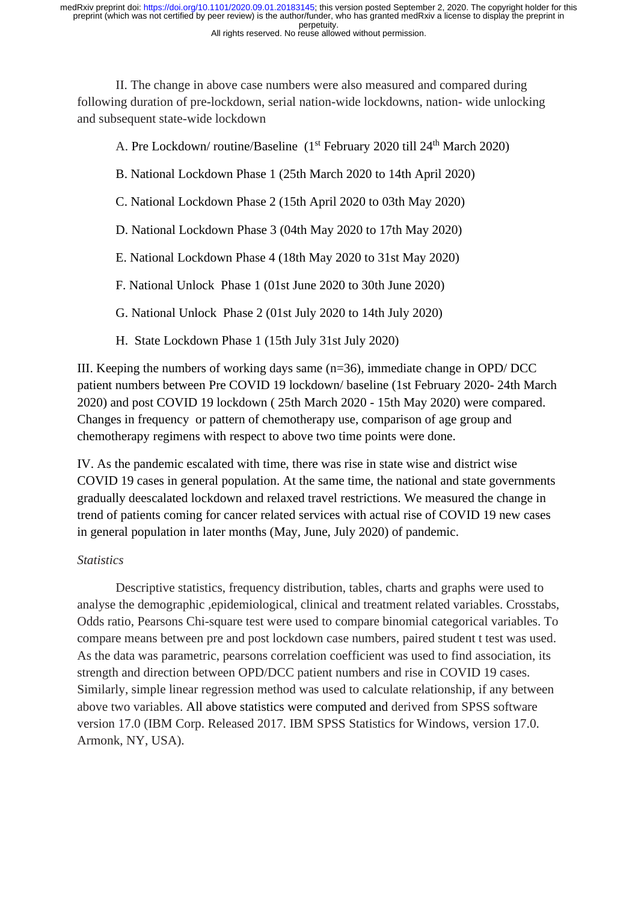II. The change in above case numbers were also measured and compared during following duration of pre-lockdown, serial nation-wide lockdowns, nation- wide unlocking and subsequent state-wide lockdown

A. Pre Lockdown/ routine/Baseline (1<sup>st</sup> February 2020 till 24<sup>th</sup> March 2020)

- B. National Lockdown Phase 1 (25th March 2020 to 14th April 2020)
- C. National Lockdown Phase 2 (15th April 2020 to 03th May 2020)
- D. National Lockdown Phase 3 (04th May 2020 to 17th May 2020)
- E. National Lockdown Phase 4 (18th May 2020 to 31st May 2020)
- F. National Unlock Phase 1 (01st June 2020 to 30th June 2020)
- G. National Unlock Phase 2 (01st July 2020 to 14th July 2020)
- H. State Lockdown Phase 1 (15th July 31st July 2020)

III. Keeping the numbers of working days same (n=36), immediate change in OPD/ DCC patient numbers between Pre COVID 19 lockdown/ baseline (1st February 2020- 24th March 2020) and post COVID 19 lockdown ( 25th March 2020 - 15th May 2020) were compared. Changes in frequency or pattern of chemotherapy use, comparison of age group and chemotherapy regimens with respect to above two time points were done.

IV. As the pandemic escalated with time, there was rise in state wise and district wise COVID 19 cases in general population. At the same time, the national and state governments gradually deescalated lockdown and relaxed travel restrictions. We measured the change in trend of patients coming for cancer related services with actual rise of COVID 19 new cases in general population in later months (May, June, July 2020) of pandemic.

## *Statistics*

Descriptive statistics, frequency distribution, tables, charts and graphs were used to analyse the demographic ,epidemiological, clinical and treatment related variables. Crosstabs, Odds ratio, Pearsons Chi-square test were used to compare binomial categorical variables. To compare means between pre and post lockdown case numbers, paired student t test was used. As the data was parametric, pearsons correlation coefficient was used to find association, its strength and direction between OPD/DCC patient numbers and rise in COVID 19 cases. Similarly, simple linear regression method was used to calculate relationship, if any between above two variables. All above statistics were computed and derived from SPSS software version 17.0 (IBM Corp. Released 2017. IBM SPSS Statistics for Windows, version 17.0. Armonk, NY, USA).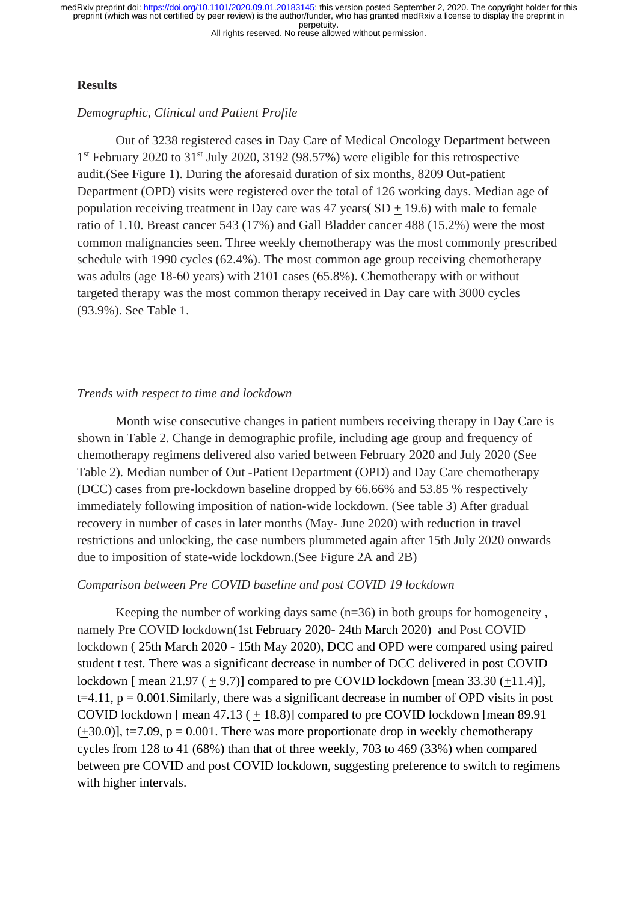## **Results**

## *Demographic, Clinical and Patient Profile*

Out of 3238 registered cases in Day Care of Medical Oncology Department between 1<sup>st</sup> February 2020 to 31<sup>st</sup> July 2020, 3192 (98.57%) were eligible for this retrospective audit.(See Figure 1). During the aforesaid duration of six months, 8209 Out-patient Department (OPD) visits were registered over the total of 126 working days. Median age of population receiving treatment in Day care was  $47$  years( SD + 19.6) with male to female ratio of 1.10. Breast cancer 543 (17%) and Gall Bladder cancer 488 (15.2%) were the most common malignancies seen. Three weekly chemotherapy was the most commonly prescribed schedule with 1990 cycles (62.4%). The most common age group receiving chemotherapy was adults (age 18-60 years) with 2101 cases (65.8%). Chemotherapy with or without targeted therapy was the most common therapy received in Day care with 3000 cycles (93.9%). See Table 1.

## *Trends with respect to time and lockdown*

Month wise consecutive changes in patient numbers receiving therapy in Day Care is shown in Table 2. Change in demographic profile, including age group and frequency of chemotherapy regimens delivered also varied between February 2020 and July 2020 (See Table 2). Median number of Out -Patient Department (OPD) and Day Care chemotherapy (DCC) cases from pre-lockdown baseline dropped by 66.66% and 53.85 % respectively immediately following imposition of nation-wide lockdown. (See table 3) After gradual recovery in number of cases in later months (May- June 2020) with reduction in travel restrictions and unlocking, the case numbers plummeted again after 15th July 2020 onwards due to imposition of state-wide lockdown.(See Figure 2A and 2B)

#### *Comparison between Pre COVID baseline and post COVID 19 lockdown*

Keeping the number of working days same  $(n=36)$  in both groups for homogeneity, namely Pre COVID lockdown(1st February 2020- 24th March 2020) and Post COVID lockdown ( 25th March 2020 - 15th May 2020), DCC and OPD were compared using paired student t test. There was a significant decrease in number of DCC delivered in post COVID lockdown [ mean  $21.97 (+9.7)$ ] compared to pre COVID lockdown [ mean  $33.30 (+11.4)$ ],  $t=4.11$ ,  $p = 0.001$ . Similarly, there was a significant decrease in number of OPD visits in post COVID lockdown [ mean 47.13 ( + 18.8)] compared to pre COVID lockdown [mean 89.91  $(+30.0)$ ], t=7.09, p = 0.001. There was more proportionate drop in weekly chemotherapy cycles from 128 to 41 (68%) than that of three weekly, 703 to 469 (33%) when compared between pre COVID and post COVID lockdown, suggesting preference to switch to regimens with higher intervals.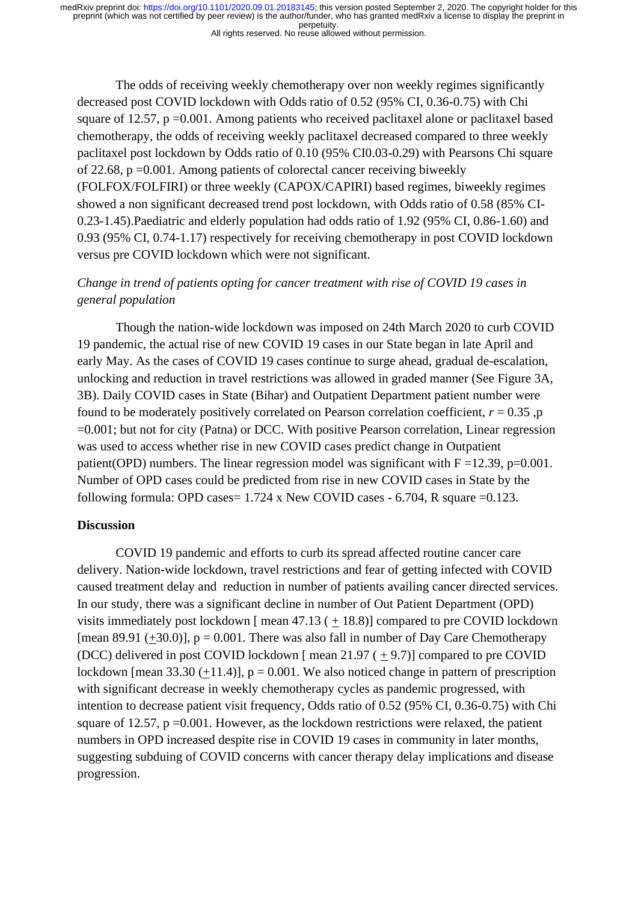All rights reserved. No reuse allowed without permission.

The odds of receiving weekly chemotherapy over non weekly regimes significantly decreased post COVID lockdown with Odds ratio of 0.52 (95% CI, 0.36-0.75) with Chi square of 12.57, p = 0.001. Among patients who received paclitaxel alone or paclitaxel based chemotherapy, the odds of receiving weekly paclitaxel decreased compared to three weekly paclitaxel post lockdown by Odds ratio of 0.10 (95% CI0.03-0.29) with Pearsons Chi square of 22.68,  $p = 0.001$ . Among patients of colorectal cancer receiving biweekly (FOLFOX/FOLFIRI) or three weekly (CAPOX/CAPIRI) based regimes, biweekly regimes showed a non significant decreased trend post lockdown, with Odds ratio of 0.58 (85% CI-0.23-1.45).Paediatric and elderly population had odds ratio of 1.92 (95% CI, 0.86-1.60) and 0.93 (95% CI, 0.74-1.17) respectively for receiving chemotherapy in post COVID lockdown versus pre COVID lockdown which were not significant.

## *Change in trend of patients opting for cancer treatment with rise of COVID 19 cases in general population*

Though the nation-wide lockdown was imposed on 24th March 2020 to curb COVID 19 pandemic, the actual rise of new COVID 19 cases in our State began in late April and early May. As the cases of COVID 19 cases continue to surge ahead, gradual de-escalation, unlocking and reduction in travel restrictions was allowed in graded manner (See Figure 3A, 3B). Daily COVID cases in State (Bihar) and Outpatient Department patient number were found to be moderately positively correlated on Pearson correlation coefficient,  $r = 0.35$ , p =0.001; but not for city (Patna) or DCC. With positive Pearson correlation, Linear regression was used to access whether rise in new COVID cases predict change in Outpatient patient(OPD) numbers. The linear regression model was significant with  $F = 12.39$ , p=0.001. Number of OPD cases could be predicted from rise in new COVID cases in State by the following formula: OPD cases =  $1.724$  x New COVID cases - 6.704, R square =0.123.

## **Discussion**

COVID 19 pandemic and efforts to curb its spread affected routine cancer care delivery. Nation-wide lockdown, travel restrictions and fear of getting infected with COVID caused treatment delay and reduction in number of patients availing cancer directed services. In our study, there was a significant decline in number of Out Patient Department (OPD) visits immediately post lockdown [ mean  $47.13$  (  $+ 18.8$ )] compared to pre COVID lockdown [mean 89.91  $(\pm 30.0)$ ], p = 0.001. There was also fall in number of Day Care Chemotherapy (DCC) delivered in post COVID lockdown  $\lceil$  mean 21.97 ( $+$ 9.7) $\lceil$  compared to pre COVID lockdown [mean 33.30  $(+11.4)$ ],  $p = 0.001$ . We also noticed change in pattern of prescription with significant decrease in weekly chemotherapy cycles as pandemic progressed, with intention to decrease patient visit frequency, Odds ratio of 0.52 (95% CI, 0.36-0.75) with Chi square of 12.57,  $p = 0.001$ . However, as the lockdown restrictions were relaxed, the patient numbers in OPD increased despite rise in COVID 19 cases in community in later months, suggesting subduing of COVID concerns with cancer therapy delay implications and disease progression.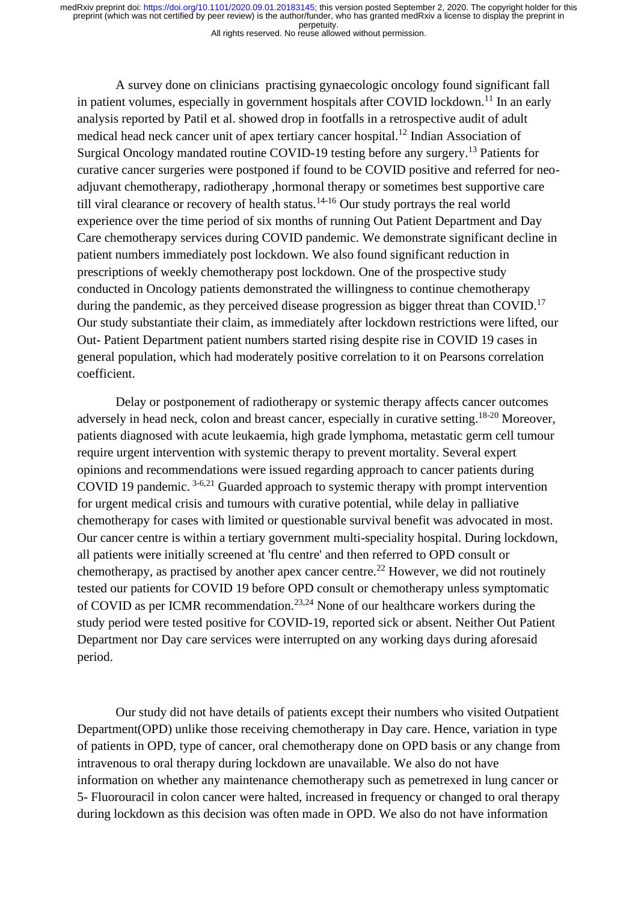All rights reserved. No reuse allowed without permission.

A survey done on clinicians practising gynaecologic oncology found significant fall in patient volumes, especially in government hospitals after COVID lockdown.<sup>11</sup> In an early analysis reported by Patil et al. showed drop in footfalls in a retrospective audit of adult medical head neck cancer unit of apex tertiary cancer hospital.<sup>12</sup> Indian Association of Surgical Oncology mandated routine COVID-19 testing before any surgery.<sup>13</sup> Patients for curative cancer surgeries were postponed if found to be COVID positive and referred for neoadjuvant chemotherapy, radiotherapy, hormonal therapy or sometimes best supportive care till viral clearance or recovery of health status.<sup>14-16</sup> Our study portrays the real world experience over the time period of six months of running Out Patient Department and Day Care chemotherapy services during COVID pandemic. We demonstrate significant decline in patient numbers immediately post lockdown. We also found significant reduction in prescriptions of weekly chemotherapy post lockdown. One of the prospective study conducted in Oncology patients demonstrated the willingness to continue chemotherapy during the pandemic, as they perceived disease progression as bigger threat than COVID.<sup>17</sup> Our study substantiate their claim, as immediately after lockdown restrictions were lifted, our Out- Patient Department patient numbers started rising despite rise in COVID 19 cases in general population, which had moderately positive correlation to it on Pearsons correlation coefficient.

Delay or postponement of radiotherapy or systemic therapy affects cancer outcomes adversely in head neck, colon and breast cancer, especially in curative setting.<sup>18-20</sup> Moreover, patients diagnosed with acute leukaemia, high grade lymphoma, metastatic germ cell tumour require urgent intervention with systemic therapy to prevent mortality. Several expert opinions and recommendations were issued regarding approach to cancer patients during COVID 19 pandemic. 3-6,21 Guarded approach to systemic therapy with prompt intervention for urgent medical crisis and tumours with curative potential, while delay in palliative chemotherapy for cases with limited or questionable survival benefit was advocated in most. Our cancer centre is within a tertiary government multi-speciality hospital. During lockdown, all patients were initially screened at 'flu centre' and then referred to OPD consult or chemotherapy, as practised by another apex cancer centre.<sup>22</sup> However, we did not routinely tested our patients for COVID 19 before OPD consult or chemotherapy unless symptomatic of COVID as per ICMR recommendation.<sup>23,24</sup> None of our healthcare workers during the study period were tested positive for COVID-19, reported sick or absent. Neither Out Patient Department nor Day care services were interrupted on any working days during aforesaid period.

Our study did not have details of patients except their numbers who visited Outpatient Department(OPD) unlike those receiving chemotherapy in Day care. Hence, variation in type of patients in OPD, type of cancer, oral chemotherapy done on OPD basis or any change from intravenous to oral therapy during lockdown are unavailable. We also do not have information on whether any maintenance chemotherapy such as pemetrexed in lung cancer or 5- Fluorouracil in colon cancer were halted, increased in frequency or changed to oral therapy during lockdown as this decision was often made in OPD. We also do not have information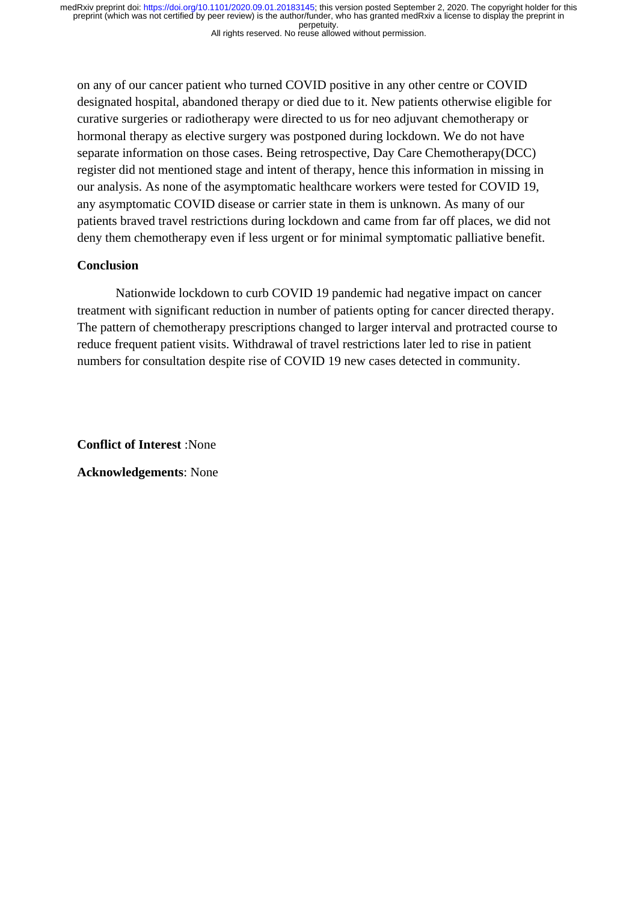on any of our cancer patient who turned COVID positive in any other centre or COVID designated hospital, abandoned therapy or died due to it. New patients otherwise eligible for curative surgeries or radiotherapy were directed to us for neo adjuvant chemotherapy or hormonal therapy as elective surgery was postponed during lockdown. We do not have separate information on those cases. Being retrospective, Day Care Chemotherapy(DCC) register did not mentioned stage and intent of therapy, hence this information in missing in our analysis. As none of the asymptomatic healthcare workers were tested for COVID 19, any asymptomatic COVID disease or carrier state in them is unknown. As many of our patients braved travel restrictions during lockdown and came from far off places, we did not deny them chemotherapy even if less urgent or for minimal symptomatic palliative benefit.

## **Conclusion**

Nationwide lockdown to curb COVID 19 pandemic had negative impact on cancer treatment with significant reduction in number of patients opting for cancer directed therapy. The pattern of chemotherapy prescriptions changed to larger interval and protracted course to reduce frequent patient visits. Withdrawal of travel restrictions later led to rise in patient numbers for consultation despite rise of COVID 19 new cases detected in community.

**Conflict of Interest** :None

**Acknowledgements**: None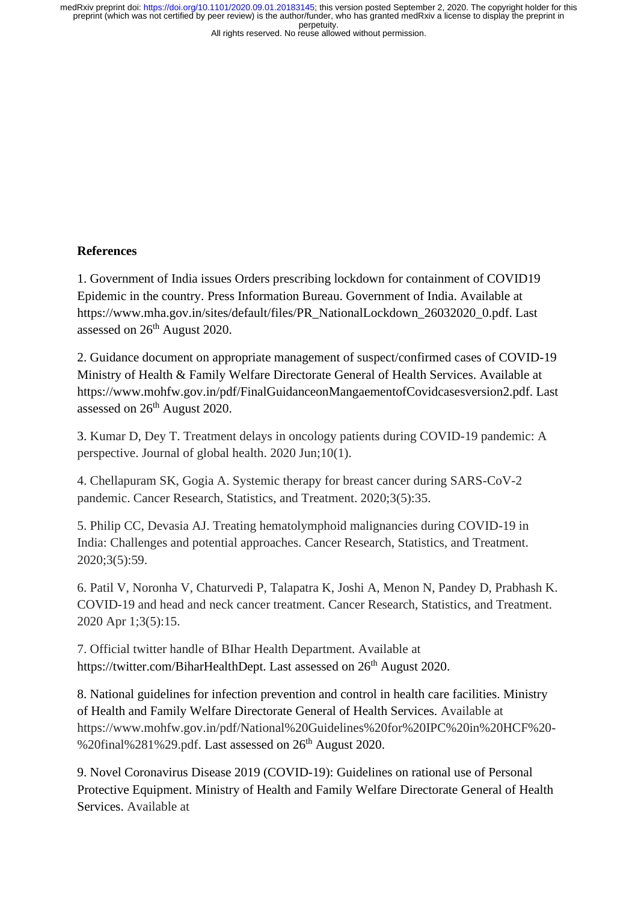#### All rights reserved. No reuse allowed without permission.

## **References**

1. Government of India issues Orders prescribing lockdown for containment of COVID19 Epidemic in the country. Press Information Bureau. Government of India. Available at https://www.mha.gov.in/sites/default/files/PR\_NationalLockdown\_26032020\_0.pdf. Last assessed on 26th August 2020.

2. Guidance document on appropriate management of suspect/confirmed cases of COVID-19 Ministry of Health & Family Welfare Directorate General of Health Services. Available at https://www.mohfw.gov.in/pdf/FinalGuidanceonMangaementofCovidcasesversion2.pdf. Last assessed on 26<sup>th</sup> August 2020.

3. Kumar D, Dey T. Treatment delays in oncology patients during COVID-19 pandemic: A perspective. Journal of global health. 2020 Jun;10(1).

4. Chellapuram SK, Gogia A. Systemic therapy for breast cancer during SARS-CoV-2 pandemic. Cancer Research, Statistics, and Treatment. 2020;3(5):35.

5. Philip CC, Devasia AJ. Treating hematolymphoid malignancies during COVID-19 in India: Challenges and potential approaches. Cancer Research, Statistics, and Treatment. 2020;3(5):59.

6. Patil V, Noronha V, Chaturvedi P, Talapatra K, Joshi A, Menon N, Pandey D, Prabhash K. COVID-19 and head and neck cancer treatment. Cancer Research, Statistics, and Treatment. 2020 Apr 1;3(5):15.

7. Official twitter handle of BIhar Health Department. Available at https://twitter.com/BiharHealthDept. Last assessed on 26<sup>th</sup> August 2020.

8. National guidelines for infection prevention and control in health care facilities. Ministry of Health and Family Welfare Directorate General of Health Services. Available at https://www.mohfw.gov.in/pdf/National%20Guidelines%20for%20IPC%20in%20HCF%20- %20final%281%29.pdf. Last assessed on  $26<sup>th</sup>$  August 2020.

9. Novel Coronavirus Disease 2019 (COVID-19): Guidelines on rational use of Personal Protective Equipment. Ministry of Health and Family Welfare Directorate General of Health Services. Available at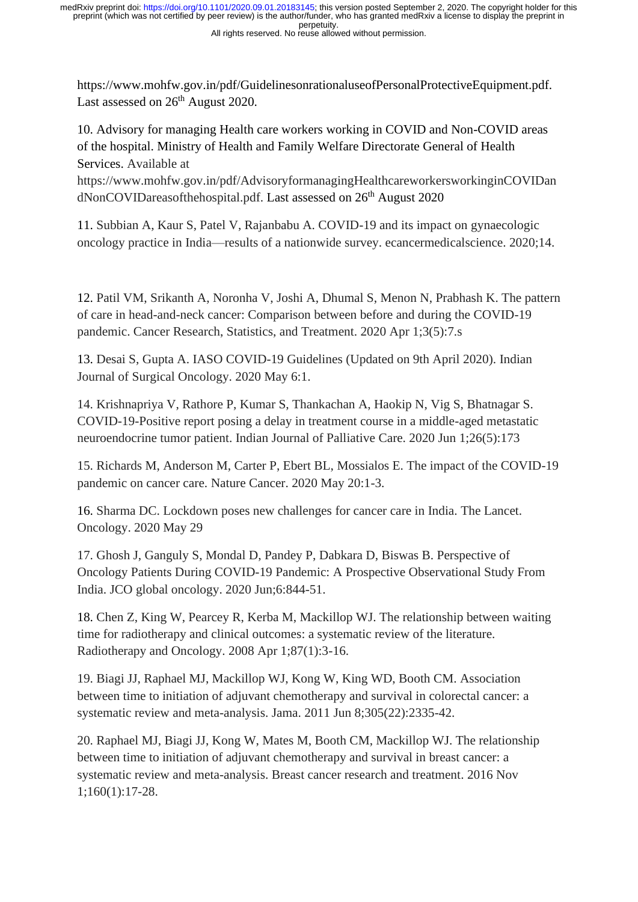All rights reserved. No reuse allowed without permission.

https://www.mohfw.gov.in/pdf/GuidelinesonrationaluseofPersonalProtectiveEquipment.pdf. Last assessed on 26<sup>th</sup> August 2020.

10. Advisory for managing Health care workers working in COVID and Non-COVID areas of the hospital. Ministry of Health and Family Welfare Directorate General of Health Services. Available at

https://www.mohfw.gov.in/pdf/AdvisoryformanagingHealthcareworkersworkinginCOVIDan dNonCOVIDareasofthehospital.pdf. Last assessed on 26<sup>th</sup> August 2020

11. Subbian A, Kaur S, Patel V, Rajanbabu A. COVID-19 and its impact on gynaecologic oncology practice in India—results of a nationwide survey. ecancermedicalscience. 2020;14.

12. Patil VM, Srikanth A, Noronha V, Joshi A, Dhumal S, Menon N, Prabhash K. The pattern of care in head-and-neck cancer: Comparison between before and during the COVID-19 pandemic. Cancer Research, Statistics, and Treatment. 2020 Apr 1;3(5):7.s

13. Desai S, Gupta A. IASO COVID-19 Guidelines (Updated on 9th April 2020). Indian Journal of Surgical Oncology. 2020 May 6:1.

14. Krishnapriya V, Rathore P, Kumar S, Thankachan A, Haokip N, Vig S, Bhatnagar S. COVID-19-Positive report posing a delay in treatment course in a middle-aged metastatic neuroendocrine tumor patient. Indian Journal of Palliative Care. 2020 Jun 1;26(5):173

15. Richards M, Anderson M, Carter P, Ebert BL, Mossialos E. The impact of the COVID-19 pandemic on cancer care. Nature Cancer. 2020 May 20:1-3.

16. Sharma DC. Lockdown poses new challenges for cancer care in India. The Lancet. Oncology. 2020 May 29

17. Ghosh J, Ganguly S, Mondal D, Pandey P, Dabkara D, Biswas B. Perspective of Oncology Patients During COVID-19 Pandemic: A Prospective Observational Study From India. JCO global oncology. 2020 Jun;6:844-51.

18. Chen Z, King W, Pearcey R, Kerba M, Mackillop WJ. The relationship between waiting time for radiotherapy and clinical outcomes: a systematic review of the literature. Radiotherapy and Oncology. 2008 Apr 1;87(1):3-16.

19. Biagi JJ, Raphael MJ, Mackillop WJ, Kong W, King WD, Booth CM. Association between time to initiation of adjuvant chemotherapy and survival in colorectal cancer: a systematic review and meta-analysis. Jama. 2011 Jun 8;305(22):2335-42.

20. Raphael MJ, Biagi JJ, Kong W, Mates M, Booth CM, Mackillop WJ. The relationship between time to initiation of adjuvant chemotherapy and survival in breast cancer: a systematic review and meta-analysis. Breast cancer research and treatment. 2016 Nov 1;160(1):17-28.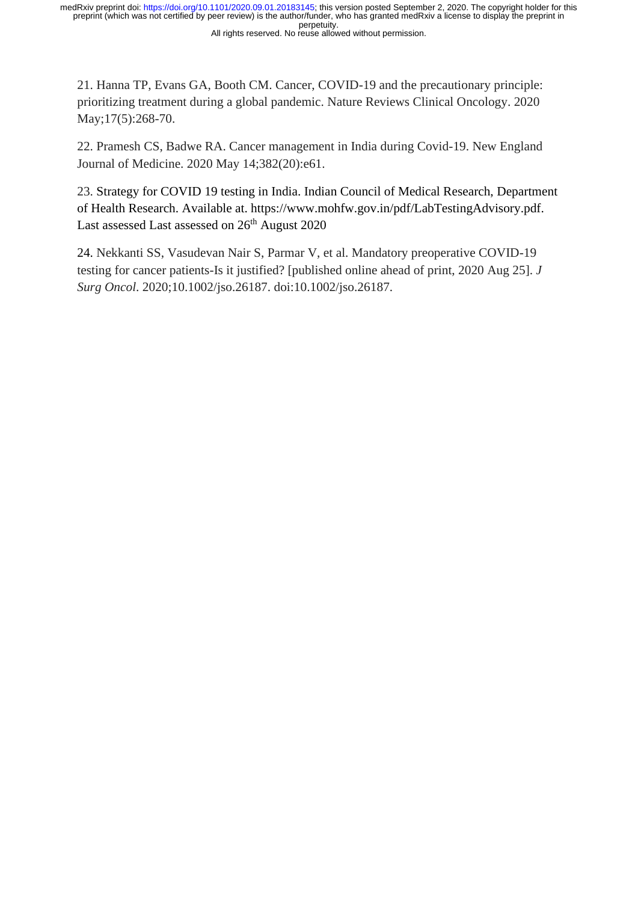21. Hanna TP, Evans GA, Booth CM. Cancer, COVID-19 and the precautionary principle: prioritizing treatment during a global pandemic. Nature Reviews Clinical Oncology. 2020 May;17(5):268-70.

22. Pramesh CS, Badwe RA. Cancer management in India during Covid-19. New England Journal of Medicine. 2020 May 14;382(20):e61.

23. Strategy for COVID 19 testing in India. Indian Council of Medical Research, Department of Health Research. Available at. https://www.mohfw.gov.in/pdf/LabTestingAdvisory.pdf. Last assessed Last assessed on 26<sup>th</sup> August 2020

24. Nekkanti SS, Vasudevan Nair S, Parmar V, et al. Mandatory preoperative COVID-19 testing for cancer patients-Is it justified? [published online ahead of print, 2020 Aug 25]. *J Surg Oncol*. 2020;10.1002/jso.26187. doi:10.1002/jso.26187.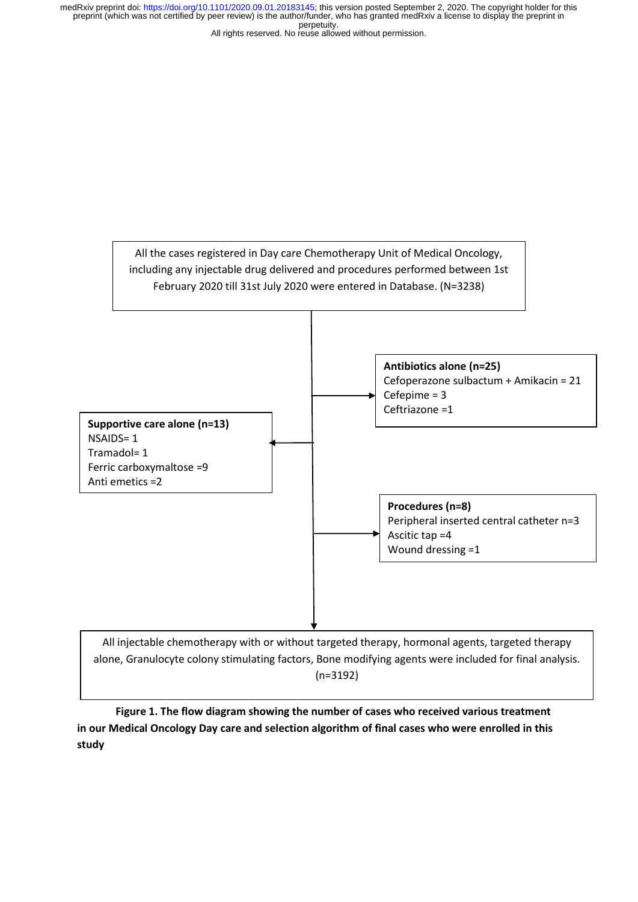All rights reserved. No reuse allowed without permission.



(n=3192)

**Figure 1. The flow diagram showing the number of cases who received various treatment in our Medical Oncology Day care and selection algorithm of final cases who were enrolled in this study**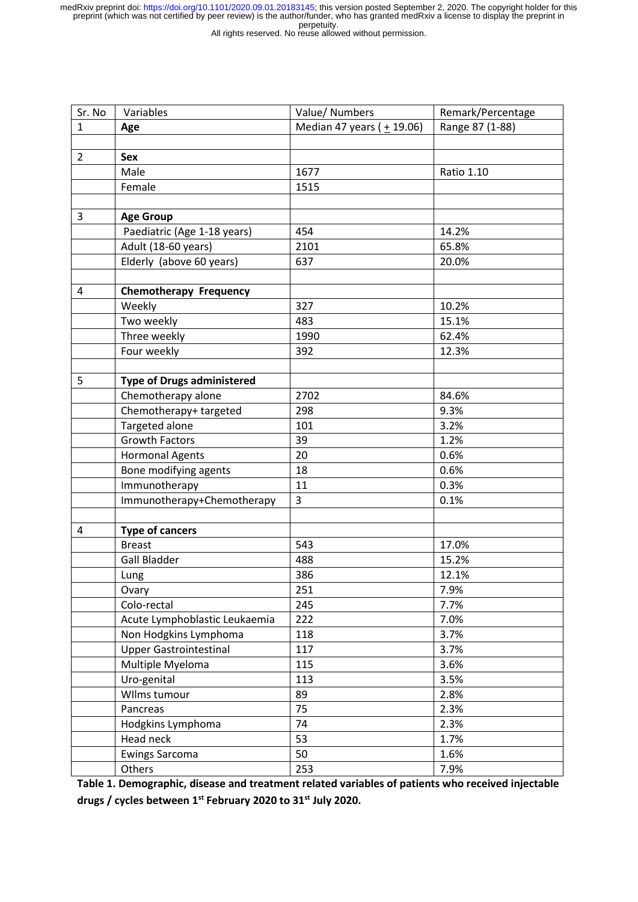All rights reserved. No reuse allowed without permission.

| Sr. No         | Variables                         | Value/ Numbers               | Remark/Percentage |  |
|----------------|-----------------------------------|------------------------------|-------------------|--|
| $\mathbf{1}$   | Age                               | Median 47 years ( $+$ 19.06) | Range 87 (1-88)   |  |
|                |                                   |                              |                   |  |
| $\overline{2}$ | <b>Sex</b>                        |                              |                   |  |
|                | Male                              | 1677                         | <b>Ratio 1.10</b> |  |
|                | Female                            | 1515                         |                   |  |
|                |                                   |                              |                   |  |
| 3              | <b>Age Group</b>                  |                              |                   |  |
|                | Paediatric (Age 1-18 years)       | 454                          | 14.2%             |  |
|                | Adult (18-60 years)               | 2101                         | 65.8%             |  |
|                | Elderly (above 60 years)          | 637                          | 20.0%             |  |
|                |                                   |                              |                   |  |
| 4              | <b>Chemotherapy Frequency</b>     |                              |                   |  |
|                | Weekly                            | 327                          | 10.2%             |  |
|                | Two weekly                        | 483                          | 15.1%             |  |
|                | Three weekly                      | 1990                         | 62.4%             |  |
|                | Four weekly                       | 392                          | 12.3%             |  |
|                |                                   |                              |                   |  |
| 5              | <b>Type of Drugs administered</b> |                              |                   |  |
|                | Chemotherapy alone                | 2702                         | 84.6%             |  |
|                | Chemotherapy+ targeted            | 298                          | 9.3%              |  |
|                | Targeted alone                    | 101                          | 3.2%              |  |
|                | <b>Growth Factors</b>             | 39                           | 1.2%              |  |
|                | <b>Hormonal Agents</b>            | 20                           | 0.6%              |  |
|                | Bone modifying agents             | 18                           | 0.6%              |  |
|                | Immunotherapy                     | 11                           | 0.3%              |  |
|                | Immunotherapy+Chemotherapy        | 3                            | 0.1%              |  |
|                |                                   |                              |                   |  |
| 4              | <b>Type of cancers</b>            |                              |                   |  |
|                | <b>Breast</b>                     | 543                          | 17.0%             |  |
|                | <b>Gall Bladder</b>               | 488                          | 15.2%             |  |
|                | Lung                              | 386                          | 12.1%             |  |
|                | Ovary                             | 251                          | 7.9%              |  |
|                | Colo-rectal                       | 245                          | 7.7%              |  |
|                | Acute Lymphoblastic Leukaemia     | 222                          | 7.0%              |  |
|                | Non Hodgkins Lymphoma             | 118                          | 3.7%              |  |
|                | <b>Upper Gastrointestinal</b>     | 117                          | 3.7%              |  |
|                | Multiple Myeloma                  | 115                          | 3.6%              |  |
|                | Uro-genital                       | 113                          | 3.5%              |  |
|                | Wilms tumour                      | 89                           | 2.8%              |  |
|                | Pancreas                          | 75                           | 2.3%              |  |
|                | Hodgkins Lymphoma                 | 74                           | 2.3%              |  |
|                | Head neck                         | 53                           | 1.7%              |  |
|                | <b>Ewings Sarcoma</b>             | 50                           | 1.6%              |  |
|                | Others                            | 253                          | 7.9%              |  |

**Table 1. Demographic, disease and treatment related variables of patients who received injectable drugs / cycles between 1st February 2020 to 31st July 2020.**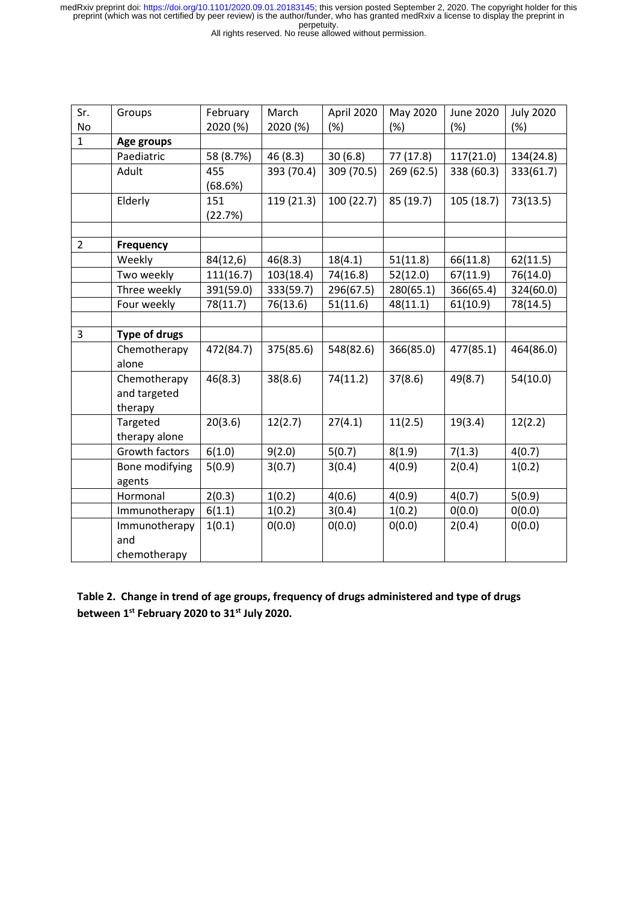All rights reserved. No reuse allowed without permission.

| Sr.            | Groups         | February  | March      | April 2020 | May 2020   | <b>June 2020</b> | <b>July 2020</b> |
|----------------|----------------|-----------|------------|------------|------------|------------------|------------------|
| No             |                | 2020 (%)  | 2020 (%)   | (%)        | (%)        | (%)              | (%)              |
| $\mathbf{1}$   | Age groups     |           |            |            |            |                  |                  |
|                | Paediatric     | 58 (8.7%) | 46 (8.3)   | 30(6.8)    | 77 (17.8)  | 117(21.0)        | 134(24.8)        |
|                | Adult          | 455       | 393 (70.4) | 309 (70.5) | 269 (62.5) | 338 (60.3)       | 333(61.7)        |
|                |                | (68.6%)   |            |            |            |                  |                  |
|                | Elderly        | 151       | 119 (21.3) | 100 (22.7) | 85 (19.7)  | 105 (18.7)       | 73(13.5)         |
|                |                | (22.7%)   |            |            |            |                  |                  |
|                |                |           |            |            |            |                  |                  |
| $\overline{2}$ | Frequency      |           |            |            |            |                  |                  |
|                | Weekly         | 84(12,6)  | 46(8.3)    | 18(4.1)    | 51(11.8)   | 66(11.8)         | 62(11.5)         |
|                | Two weekly     | 111(16.7) | 103(18.4)  | 74(16.8)   | 52(12.0)   | 67(11.9)         | 76(14.0)         |
|                | Three weekly   | 391(59.0) | 333(59.7)  | 296(67.5)  | 280(65.1)  | 366(65.4)        | 324(60.0)        |
|                | Four weekly    | 78(11.7)  | 76(13.6)   | 51(11.6)   | 48(11.1)   | 61(10.9)         | 78(14.5)         |
|                |                |           |            |            |            |                  |                  |
| 3              | Type of drugs  |           |            |            |            |                  |                  |
|                | Chemotherapy   | 472(84.7) | 375(85.6)  | 548(82.6)  | 366(85.0)  | 477(85.1)        | 464(86.0)        |
|                | alone          |           |            |            |            |                  |                  |
|                | Chemotherapy   | 46(8.3)   | 38(8.6)    | 74(11.2)   | 37(8.6)    | 49(8.7)          | 54(10.0)         |
|                | and targeted   |           |            |            |            |                  |                  |
|                | therapy        |           |            |            |            |                  |                  |
|                | Targeted       | 20(3.6)   | 12(2.7)    | 27(4.1)    | 11(2.5)    | 19(3.4)          | 12(2.2)          |
|                | therapy alone  |           |            |            |            |                  |                  |
|                | Growth factors | 6(1.0)    | 9(2.0)     | 5(0.7)     | 8(1.9)     | 7(1.3)           | 4(0.7)           |
|                | Bone modifying | 5(0.9)    | 3(0.7)     | 3(0.4)     | 4(0.9)     | 2(0.4)           | 1(0.2)           |
|                | agents         |           |            |            |            |                  |                  |
|                | Hormonal       | 2(0.3)    | 1(0.2)     | 4(0.6)     | 4(0.9)     | 4(0.7)           | 5(0.9)           |
|                | Immunotherapy  | 6(1.1)    | 1(0.2)     | 3(0.4)     | 1(0.2)     | 0(0.0)           | 0(0.0)           |
|                | Immunotherapy  | 1(0.1)    | O(0.0)     | 0(0.0)     | 0(0.0)     | 2(0.4)           | O(0.0)           |
|                | and            |           |            |            |            |                  |                  |
|                | chemotherapy   |           |            |            |            |                  |                  |

**Table 2. Change in trend of age groups, frequency of drugs administered and type of drugs between 1st February 2020 to 31st July 2020.**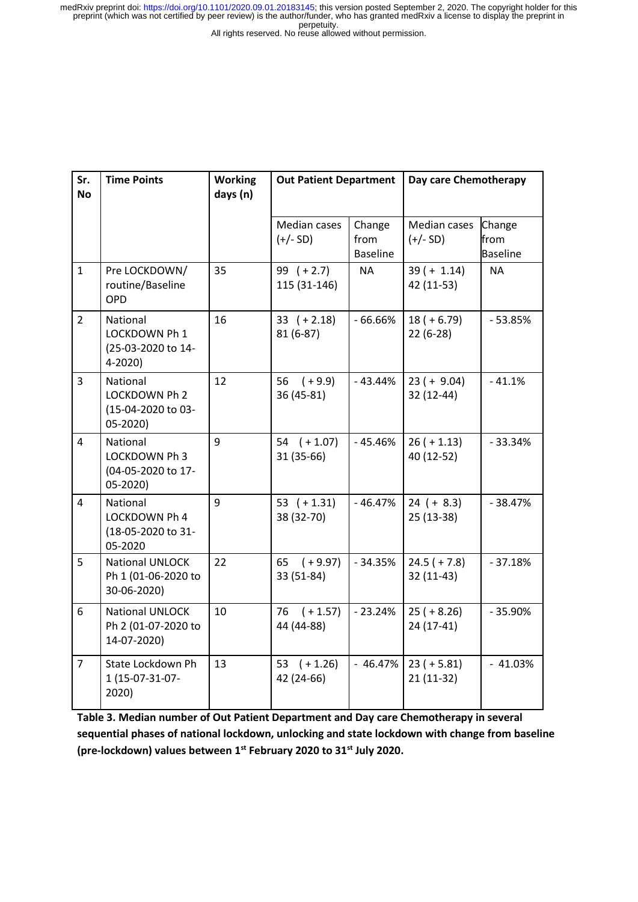All rights reserved. No reuse allowed without permission.

| Sr.<br><b>No</b> | <b>Time Points</b>                                          | <b>Working</b><br>days (n) | <b>Out Patient Department</b> |                                   | Day care Chemotherapy        |                                   |
|------------------|-------------------------------------------------------------|----------------------------|-------------------------------|-----------------------------------|------------------------------|-----------------------------------|
|                  |                                                             |                            | Median cases<br>$(+/- SD)$    | Change<br>from<br><b>Baseline</b> | Median cases<br>$(+/- SD)$   | Change<br>from<br><b>Baseline</b> |
| $\mathbf{1}$     | Pre LOCKDOWN/<br>routine/Baseline<br>OPD                    | 35                         | 99 $(+2.7)$<br>115 (31-146)   | <b>NA</b>                         | $39 (+ 1.14)$<br>42 (11-53)  | <b>NA</b>                         |
| $\overline{2}$   | National<br>LOCKDOWN Ph 1<br>(25-03-2020 to 14-<br>4-2020)  | 16                         | $33 (+ 2.18)$<br>81 (6-87)    | $-66.66%$                         | $18 (+ 6.79)$<br>$22(6-28)$  | $-53.85%$                         |
| $\overline{3}$   | National<br>LOCKDOWN Ph 2<br>(15-04-2020 to 03-<br>05-2020) | 12                         | 56<br>$(+9.9)$<br>36 (45-81)  | $-43.44%$                         | $23 (+ 9.04)$<br>32 (12-44)  | $-41.1%$                          |
| $\overline{4}$   | National<br>LOCKDOWN Ph 3<br>(04-05-2020 to 17-<br>05-2020) | 9                          | $54$ $(+ 1.07)$<br>31 (35-66) | $-45.46%$                         | $26 (+ 1.13)$<br>40 (12-52)  | $-33.34%$                         |
| $\overline{4}$   | National<br>LOCKDOWN Ph 4<br>(18-05-2020 to 31-<br>05-2020  | 9                          | 53 $(+1.31)$<br>38 (32-70)    | $-46.47%$                         | $24 (+ 8.3)$<br>25 (13-38)   | $-38.47%$                         |
| 5                | National UNLOCK<br>Ph 1 (01-06-2020 to<br>30-06-2020)       | 22                         | 65<br>$(+9.97)$<br>33 (51-84) | $-34.35%$                         | $24.5 (+ 7.8)$<br>32 (11-43) | $-37.18%$                         |
| 6                | National UNLOCK<br>Ph 2 (01-07-2020 to<br>14-07-2020)       | 10                         | $(+1.57)$<br>76<br>44 (44-88) | $-23.24%$                         | $25 (+ 8.26)$<br>$24(17-41)$ | $-35.90%$                         |
| $\overline{7}$   | State Lockdown Ph<br>1 (15-07-31-07-<br>2020)               | 13                         | 53 $(+1.26)$<br>42 (24-66)    | $-46.47%$                         | $23 (+ 5.81)$<br>$21(11-32)$ | $-41.03%$                         |

**Table 3. Median number of Out Patient Department and Day care Chemotherapy in several sequential phases of national lockdown, unlocking and state lockdown with change from baseline (pre-lockdown) values between 1st February 2020 to 31st July 2020.**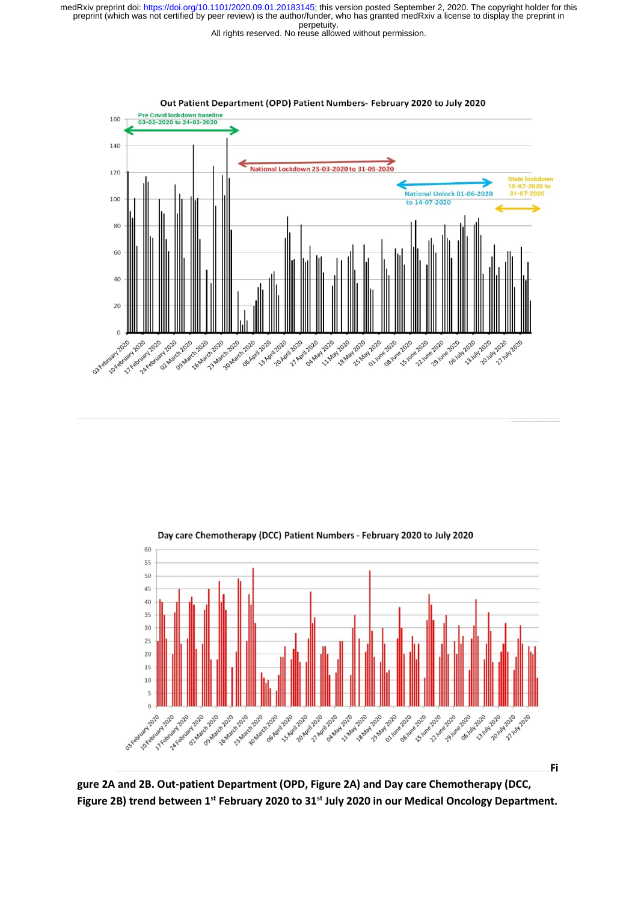



Day care Chemotherapy (DCC) Patient Numbers - February 2020 to July 2020

**gure 2A and 2B. Out-patient Department (OPD, Figure 2A) and Day care Chemotherapy (DCC, Figure 2B) trend between 1st February 2020 to 31st July 2020 in our Medical Oncology Department.**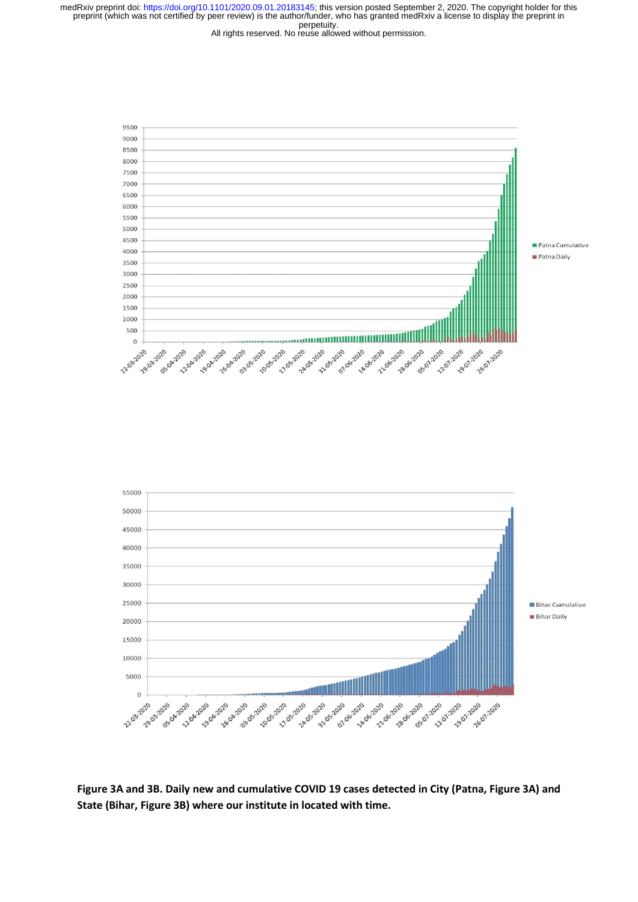



**Figure 3A and 3B. Daily new and cumulative COVID 19 cases detected in City (Patna, Figure 3A) and State (Bihar, Figure 3B) where our institute in located with time.**